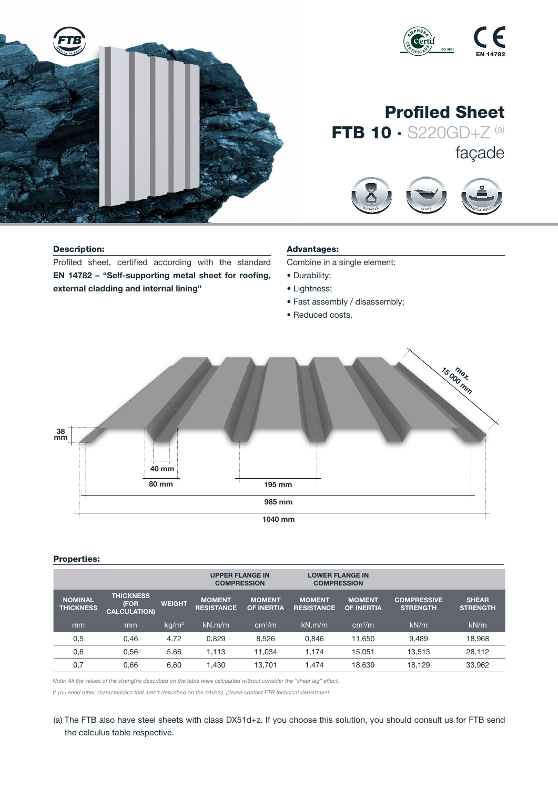

#### Description:

Profiled sheet, certified according with the standard EN 14782 – "Self-supporting metal sheet for roofing, external cladding and internal lining"

# Advantages:

Combine in a single element:

D <sup>U</sup> <sup>R</sup> <sup>A</sup> <sup>B</sup> <sup>L</sup> <sup>E</sup>

<sup>S</sup> <sup>O</sup> <sup>U</sup> <sup>N</sup> <sup>D</sup> <sup>I</sup> <sup>N</sup> <sup>S</sup> <sup>U</sup> <sup>L</sup> <sup>A</sup><sup>T</sup> <sup>I</sup> <sup>O</sup> <sup>N</sup>

 $\overline{\phantom{a}}$ 

- Durability;
- Lightness;
- Fast assembly / disassembly;
- Reduced costs.



### Properties:

|                                    |                                                 |               | <b>UPPER FLANGE IN</b><br><b>COMPRESSION</b> |                                    | <b>LOWER FLANGE IN</b><br><b>COMPRESSION</b> |                                    |                                       |                                 |
|------------------------------------|-------------------------------------------------|---------------|----------------------------------------------|------------------------------------|----------------------------------------------|------------------------------------|---------------------------------------|---------------------------------|
| <b>NOMINAL</b><br><b>THICKNESS</b> | <b>THICKNESS</b><br>(FOR<br><b>CALCULATION)</b> | <b>WEIGHT</b> | <b>MOMENT</b><br><b>RESISTANCE.</b>          | <b>MOMENT</b><br><b>OF INERTIA</b> | <b>MOMENT</b><br><b>RESISTANCE</b>           | <b>MOMENT</b><br><b>OF INERTIA</b> | <b>COMPRESSIVE</b><br><b>STRENGTH</b> | <b>SHEAR</b><br><b>STRENGTH</b> |
| mm                                 | mm                                              | $kq/m^2$      | kN.m/m                                       | cm <sup>4</sup> /m                 | kN.m/m                                       | cm <sup>4</sup> /m                 | kN/m                                  | kN/m                            |
| 0.5                                | 0.46                                            | 4.72          | 0.829                                        | 8,526                              | 0.846                                        | 11.650                             | 9.489                                 | 18,968                          |
| 0,6                                | 0.56                                            | 5.66          | 1.113                                        | 11.034                             | 1.174                                        | 15.051                             | 13.513                                | 28,112                          |
| 0,7                                | 0.66                                            | 6,60          | 1,430                                        | 13,701                             | 1.474                                        | 18,639                             | 18.129                                | 33,962                          |

*Note: All the values of the strengths described on the table were calculated without consider the "shear lag" effect.*

*If you need other characteristics that aren't described on the table(s), please contact FTB technical department.*

(a) The FTB also have steel sheets with class DX51d+z. If you choose this solution, you should consult us for FTB send the calculus table respective.